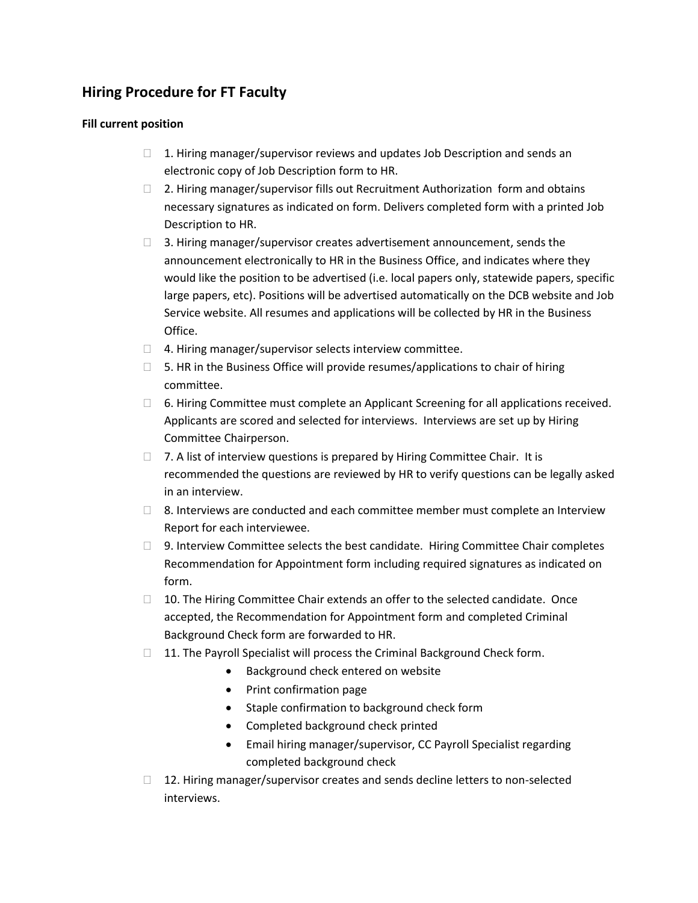## **Hiring Procedure for FT Faculty**

## **Fill current position**

- $\Box$  1. Hiring manager/supervisor reviews and updates Job Description and sends an electronic copy of Job Description form to HR.
- $\Box$  2. Hiring manager/supervisor fills out Recruitment Authorization form and obtains necessary signatures as indicated on form. Delivers completed form with a printed Job Description to HR.
- large papers, etc). Positions will be advertised automatically on the DCB website and Job  $\Box$  3. Hiring manager/supervisor creates advertisement announcement, sends the announcement electronically to HR in the Business Office, and indicates where they would like the position to be advertised (i.e. local papers only, statewide papers, specific Service website. All resumes and applications will be collected by HR in the Business Office.
- $\Box$  4. Hiring manager/supervisor selects interview committee.
- $\Box$  5. HR in the Business Office will provide resumes/applications to chair of hiring committee.
- $\Box$  6. Hiring Committee must complete an Applicant Screening for all applications received.<br>Applicants are scored and selected for interviews. Interviews are set up by Hiring Committee Chairperson.
- □ 7. A list of interview questions is prepared by Hiring Committee Chair. It is recommended the questions are reviewed by HR to verify questions can be legally asked in an interview.
- $\Box$  8. Interviews are conducted and each committee member must complete an Interview Report for each interviewee.
- form.  $\Box$  9. Interview Committee selects the best candidate. Hiring Committee Chair completes Recommendation for Appointment form including required signatures as indicated on
- $\Box$  10. The Hiring Committee Chair extends an offer to the selected candidate. Once accepted, the Recommendation for Appointment form and completed Criminal Background Check form are forwarded to HR.
- □ 11. The Payroll Specialist will process the Criminal Background Check form.
	- **•** Background check entered on website
	- Print confirmation page
	- Staple confirmation to background check form
	- Completed background check printed
	- Email hiring manager/supervisor, CC Payroll Specialist regarding completed background check
- $\Box$  12. Hiring manager/supervisor creates and sends decline letters to non-selected interviews.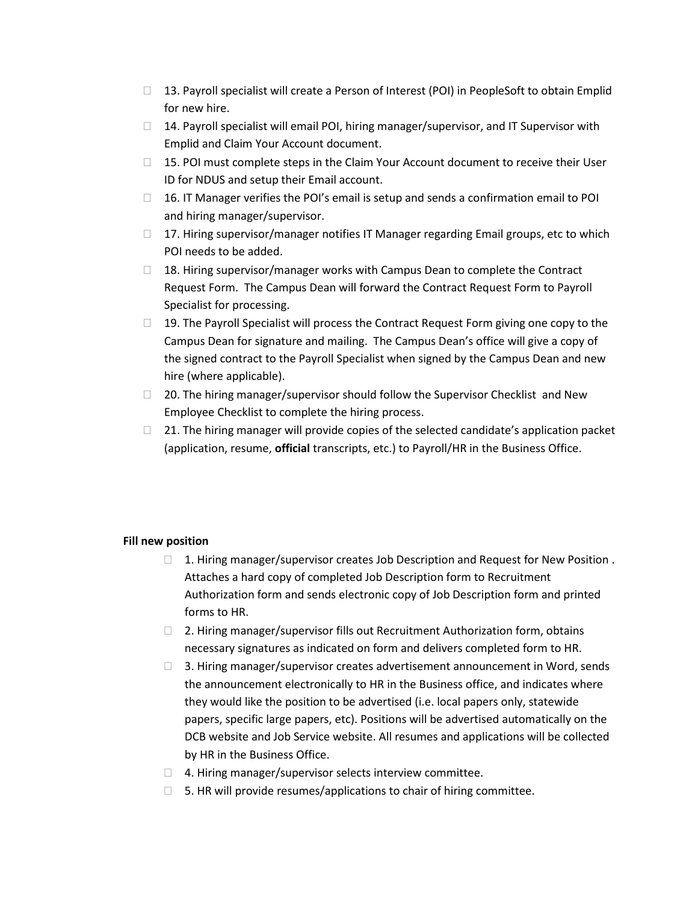- $\Box$  13. Payroll specialist will create a Person of Interest (POI) in PeopleSoft to obtain Emplid for new hire.
- $\Box$  14. Payroll specialist will email POI, hiring manager/supervisor, and IT Supervisor with Emplid and Claim Your Account document.
- $\Box$  15. POI must complete steps in the Claim Your Account document to receive their User ID for NDUS and setup their Email account.
- $\Box$  16. IT Manager verifies the POI's email is setup and sends a confirmation email to POI and hiring manager/supervisor.
- $\Box$  17. Hiring supervisor/manager notifies IT Manager regarding Email groups, etc to which POI needs to be added.
- $\Box$  18. Hiring supervisor/manager works with Campus Dean to complete the Contract Request Form. The Campus Dean will forward the Contract Request Form to Payroll Specialist for processing.
- $\Box$  19. The Payroll Specialist will process the Contract Request Form giving one copy to the Campus Dean for signature and mailing. The Campus Dean's office will give a copy of the signed contract to the Payroll Specialist when signed by the Campus Dean and new hire (where applicable).
- $\Box$  20. The hiring manager/supervisor should follow the Supervisor Checklist and New Employee Checklist to complete the hiring process.
- $\Box$  21. The hiring manager will provide copies of the selected candidate's application packet (application, resume, **official** transcripts, etc.) to Payroll/HR in the Business Office.

## **Fill new position**

- $\Box$  1. Hiring manager/supervisor creates Job Description and Request for New Position. Attaches a hard copy of completed Job Description form to Recruitment Authorization form and sends electronic copy of Job Description form and printed forms to HR.
- □ 2. Hiring manager/supervisor fills out Recruitment Authorization form, obtains necessary signatures as indicated on form and delivers completed form to HR.
- they would like the position to be advertised (i.e. local papers only, statewide  $\Box$  3. Hiring manager/supervisor creates advertisement announcement in Word, sends the announcement electronically to HR in the Business office, and indicates where papers, specific large papers, etc). Positions will be advertised automatically on the DCB website and Job Service website. All resumes and applications will be collected by HR in the Business Office.
- $\Box$  4. Hiring manager/supervisor selects interview committee.
- $\Box$  5. HR will provide resumes/applications to chair of hiring committee.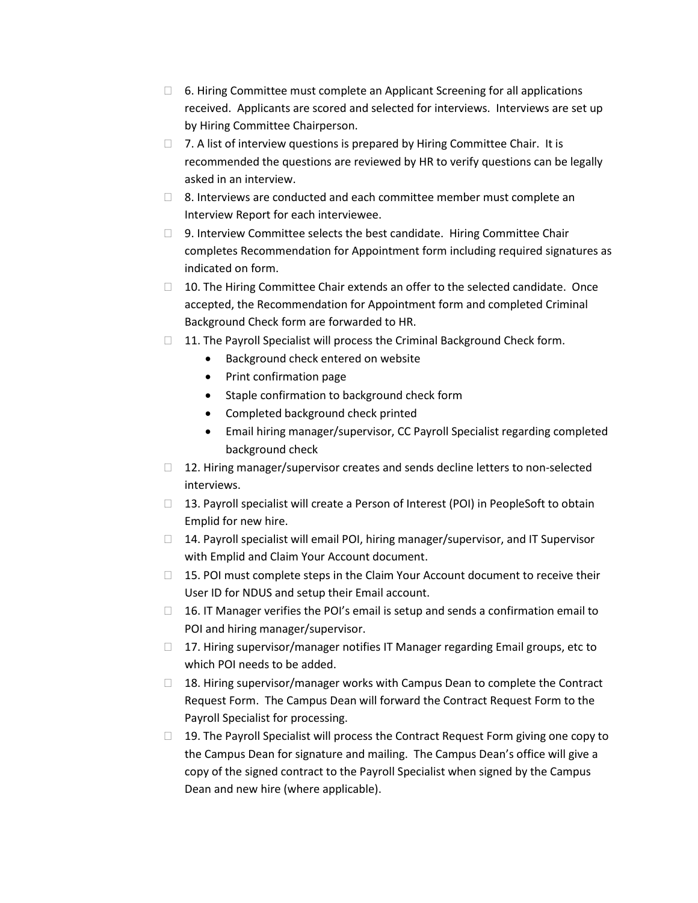- $\Box$  6. Hiring Committee must complete an Applicant Screening for all applications received. Applicants are scored and selected for interviews. Interviews are set up by Hiring Committee Chairperson.
- □ 7. A list of interview questions is prepared by Hiring Committee Chair. It is recommended the questions are reviewed by HR to verify questions can be legally asked in an interview.
- $\Box$  8. Interviews are conducted and each committee member must complete an Interview Report for each interviewee.
- $\Box$  9. Interview Committee selects the best candidate. Hiring Committee Chair completes Recommendation for Appointment form including required signatures as indicated on form.
- □ 10. The Hiring Committee Chair extends an offer to the selected candidate. Once accepted, the Recommendation for Appointment form and completed Criminal Background Check form are forwarded to HR.
- $\Box$  11. The Payroll Specialist will process the Criminal Background Check form.
	- Background check entered on website
	- Print confirmation page
	- Staple confirmation to background check form
	- Completed background check printed
	- Email hiring manager/supervisor, CC Payroll Specialist regarding completed background check
- □ 12. Hiring manager/supervisor creates and sends decline letters to non-selected interviews.
- $\Box$  13. Payroll specialist will create a Person of Interest (POI) in PeopleSoft to obtain Emplid for new hire.
- $\Box$  14. Payroll specialist will email POI, hiring manager/supervisor, and IT Supervisor with Emplid and Claim Your Account document.
- $\Box$  15. POI must complete steps in the Claim Your Account document to receive their User ID for NDUS and setup their Email account.
- $\Box$  16. IT Manager verifies the POI's email is setup and sends a confirmation email to POI and hiring manager/supervisor.
- $\Box$  17. Hiring supervisor/manager notifies IT Manager regarding Email groups, etc to which POI needs to be added.
- $\Box$  18. Hiring supervisor/manager works with Campus Dean to complete the Contract Request Form. The Campus Dean will forward the Contract Request Form to the Payroll Specialist for processing.
- $\Box$  19. The Payroll Specialist will process the Contract Request Form giving one copy to the Campus Dean for signature and mailing. The Campus Dean's office will give a copy of the signed contract to the Payroll Specialist when signed by the Campus Dean and new hire (where applicable).